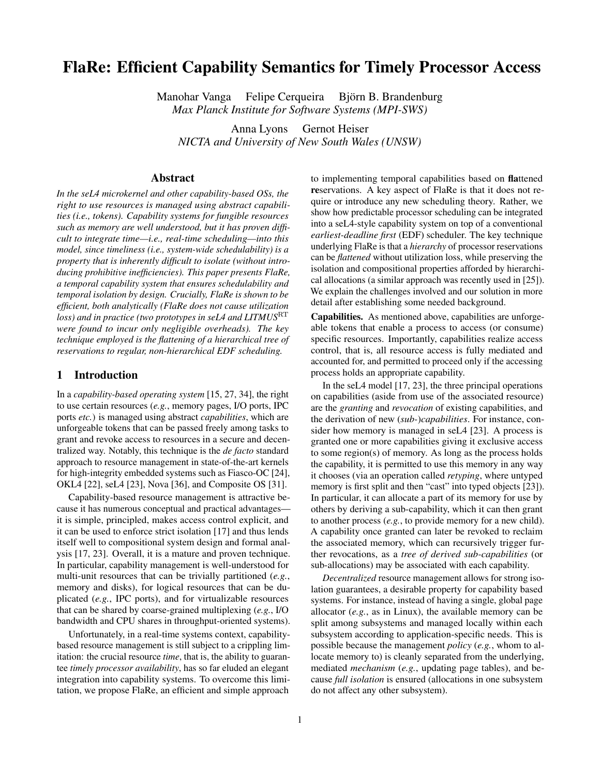# FlaRe: Efficient Capability Semantics for Timely Processor Access

Manohar Vanga Felipe Cerqueira Björn B. Brandenburg *Max Planck Institute for Software Systems (MPI-SWS)*

Anna Lyons Gernot Heiser *NICTA and University of New South Wales (UNSW)*

## Abstract

*In the seL4 microkernel and other capability-based OSs, the right to use resources is managed using abstract capabilities (i.e., tokens). Capability systems for fungible resources such as memory are well understood, but it has proven difficult to integrate time—i.e., real-time scheduling—into this model, since timeliness (i.e., system-wide schedulability) is a property that is inherently difficult to isolate (without introducing prohibitive inefficiencies). This paper presents FlaRe, a temporal capability system that ensures schedulability and temporal isolation by design. Crucially, FlaRe is shown to be efficient, both analytically (FlaRe does not cause utilization loss) and in practice (two prototypes in seL4 and LITMUS*<sup>RT</sup> *were found to incur only negligible overheads). The key technique employed is the flattening of a hierarchical tree of reservations to regular, non-hierarchical EDF scheduling.*

## <span id="page-0-0"></span>1 Introduction

In a *capability-based operating system* [\[15,](#page-9-0) [27,](#page-9-1) [34\]](#page-9-2), the right to use certain resources (*e.g.*, memory pages, I/O ports, IPC ports *etc.*) is managed using abstract *capabilities*, which are unforgeable tokens that can be passed freely among tasks to grant and revoke access to resources in a secure and decentralized way. Notably, this technique is the *de facto* standard approach to resource management in state-of-the-art kernels for high-integrity embedded systems such as Fiasco-OC [\[24\]](#page-9-3), OKL4 [\[22\]](#page-9-4), seL4 [\[23\]](#page-9-5), Nova [\[36\]](#page-9-6), and Composite OS [\[31\]](#page-9-7).

Capability-based resource management is attractive because it has numerous conceptual and practical advantages it is simple, principled, makes access control explicit, and it can be used to enforce strict isolation [\[17\]](#page-9-8) and thus lends itself well to compositional system design and formal analysis [\[17,](#page-9-8) [23\]](#page-9-5). Overall, it is a mature and proven technique. In particular, capability management is well-understood for multi-unit resources that can be trivially partitioned (*e.g.*, memory and disks), for logical resources that can be duplicated (*e.g.*, IPC ports), and for virtualizable resources that can be shared by coarse-grained multiplexing (*e.g.*, I/O bandwidth and CPU shares in throughput-oriented systems).

Unfortunately, in a real-time systems context, capabilitybased resource management is still subject to a crippling limitation: the crucial resource *time*, that is, the ability to guarantee *timely processor availability*, has so far eluded an elegant integration into capability systems. To overcome this limitation, we propose FlaRe, an efficient and simple approach

to implementing temporal capabilities based on flattened reservations. A key aspect of FlaRe is that it does not require or introduce any new scheduling theory. Rather, we show how predictable processor scheduling can be integrated into a seL4-style capability system on top of a conventional *earliest-deadline first* (EDF) scheduler. The key technique underlying FlaRe is that a *hierarchy* of processor reservations can be *flattened* without utilization loss, while preserving the isolation and compositional properties afforded by hierarchical allocations (a similar approach was recently used in [\[25\]](#page-9-9)). We explain the challenges involved and our solution in more detail after establishing some needed background.

Capabilities. As mentioned above, capabilities are unforgeable tokens that enable a process to access (or consume) specific resources. Importantly, capabilities realize access control, that is, all resource access is fully mediated and accounted for, and permitted to proceed only if the accessing process holds an appropriate capability.

In the seL4 model [\[17,](#page-9-8) [23\]](#page-9-5), the three principal operations on capabilities (aside from use of the associated resource) are the *granting* and *revocation* of existing capabilities, and the derivation of new (*sub-*)*capabilities*. For instance, consider how memory is managed in seL4 [\[23\]](#page-9-5). A process is granted one or more capabilities giving it exclusive access to some region(s) of memory. As long as the process holds the capability, it is permitted to use this memory in any way it chooses (via an operation called *retyping*, where untyped memory is first split and then "cast" into typed objects [\[23\]](#page-9-5)). In particular, it can allocate a part of its memory for use by others by deriving a sub-capability, which it can then grant to another process (*e.g.*, to provide memory for a new child). A capability once granted can later be revoked to reclaim the associated memory, which can recursively trigger further revocations, as a *tree of derived sub-capabilities* (or sub-allocations) may be associated with each capability.

*Decentralized* resource management allows for strong isolation guarantees, a desirable property for capability based systems. For instance, instead of having a single, global page allocator (*e.g.*, as in Linux), the available memory can be split among subsystems and managed locally within each subsystem according to application-specific needs. This is possible because the management *policy* (*e.g.*, whom to allocate memory to) is cleanly separated from the underlying, mediated *mechanism* (*e.g.*, updating page tables), and because *full isolation* is ensured (allocations in one subsystem do not affect any other subsystem).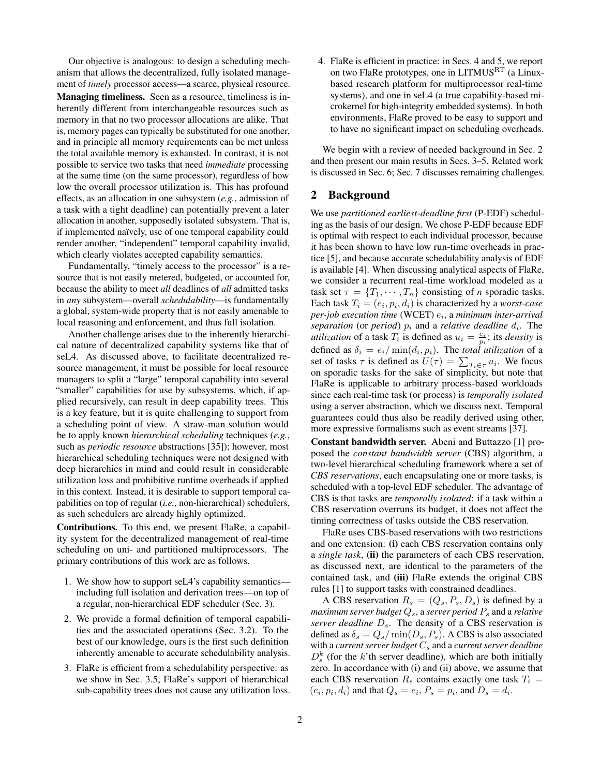Our objective is analogous: to design a scheduling mechanism that allows the decentralized, fully isolated management of *timely* processor access—a scarce, physical resource. Managing timeliness. Seen as a resource, timeliness is inherently different from interchangeable resources such as memory in that no two processor allocations are alike. That is, memory pages can typically be substituted for one another, and in principle all memory requirements can be met unless the total available memory is exhausted. In contrast, it is not possible to service two tasks that need *immediate* processing at the same time (on the same processor), regardless of how low the overall processor utilization is. This has profound effects, as an allocation in one subsystem (*e.g.*, admission of a task with a tight deadline) can potentially prevent a later allocation in another, supposedly isolated subsystem. That is, if implemented naïvely, use of one temporal capability could render another, "independent" temporal capability invalid, which clearly violates accepted capability semantics.

Fundamentally, "timely access to the processor" is a resource that is not easily metered, budgeted, or accounted for, because the ability to meet *all* deadlines of *all* admitted tasks in *any* subsystem—overall *schedulability*—is fundamentally a global, system-wide property that is not easily amenable to local reasoning and enforcement, and thus full isolation.

Another challenge arises due to the inherently hierarchical nature of decentralized capability systems like that of seL4. As discussed above, to facilitate decentralized resource management, it must be possible for local resource managers to split a "large" temporal capability into several "smaller" capabilities for use by subsystems, which, if applied recursively, can result in deep capability trees. This is a key feature, but it is quite challenging to support from a scheduling point of view. A straw-man solution would be to apply known *hierarchical scheduling* techniques (*e.g.*, such as *periodic resource* abstractions [\[35\]](#page-9-10)); however, most hierarchical scheduling techniques were not designed with deep hierarchies in mind and could result in considerable utilization loss and prohibitive runtime overheads if applied in this context. Instead, it is desirable to support temporal capabilities on top of regular (*i.e.*, non-hierarchical) schedulers, as such schedulers are already highly optimized.

Contributions. To this end, we present FlaRe, a capability system for the decentralized management of real-time scheduling on uni- and partitioned multiprocessors. The primary contributions of this work are as follows.

- 1. We show how to support seL4's capability semantics including full isolation and derivation trees—on top of a regular, non-hierarchical EDF scheduler (Sec. [3\)](#page-2-0).
- 2. We provide a formal definition of temporal capabilities and the associated operations (Sec. [3.2\)](#page-3-0). To the best of our knowledge, ours is the first such definition inherently amenable to accurate schedulability analysis.
- 3. FlaRe is efficient from a schedulability perspective: as we show in Sec. [3.5,](#page-5-0) FlaRe's support of hierarchical sub-capability trees does not cause any utilization loss.

4. FlaRe is efficient in practice: in Secs. [4](#page-5-1) and [5,](#page-7-0) we report on two FlaRe prototypes, one in LITMUS<sup>RT</sup> (a Linuxbased research platform for multiprocessor real-time systems), and one in seL4 (a true capability-based microkernel for high-integrity embedded systems). In both environments, FlaRe proved to be easy to support and to have no significant impact on scheduling overheads.

We begin with a review of needed background in Sec. [2](#page-1-0) and then present our main results in Secs. [3–](#page-2-0)[5.](#page-7-0) Related work is discussed in Sec. [6;](#page-8-0) Sec. [7](#page-9-11) discusses remaining challenges.

## <span id="page-1-0"></span>2 Background

We use *partitioned earliest-deadline first* (P-EDF) scheduling as the basis of our design. We chose P-EDF because EDF is optimal with respect to each individual processor, because it has been shown to have low run-time overheads in practice [\[5\]](#page-9-12), and because accurate schedulability analysis of EDF is available [\[4\]](#page-9-13). When discussing analytical aspects of FlaRe, we consider a recurrent real-time workload modeled as a task set  $\tau = \{T_1, \dots, T_n\}$  consisting of *n* sporadic tasks. Each task  $T_i = (e_i, p_i, d_i)$  is characterized by a *worst-case per-job execution time* (WCET) e<sup>i</sup> , a *minimum inter-arrival*  $separation$  (or  $period$ )  $p_i$  and a *relative deadline*  $d_i$ . The *utilization* of a task  $T_i$  is defined as  $u_i = \frac{e_i}{p_i}$ ; its *density* is defined as  $\delta_i = e_i / \min(d_i, p_i)$ . The *total utilization* of a set of tasks  $\tau$  is defined as  $U(\tau) = \sum_{T_i \in \tau} u_i$ . We focus on sporadic tasks for the sake of simplicity, but note that FlaRe is applicable to arbitrary process-based workloads since each real-time task (or process) is *temporally isolated* using a server abstraction, which we discuss next. Temporal guarantees could thus also be readily derived using other, more expressive formalisms such as event streams [\[37\]](#page-9-14).

Constant bandwidth server. Abeni and Buttazzo [\[1\]](#page-9-15) proposed the *constant bandwidth server* (CBS) algorithm, a two-level hierarchical scheduling framework where a set of *CBS reservations*, each encapsulating one or more tasks, is scheduled with a top-level EDF scheduler. The advantage of CBS is that tasks are *temporally isolated*: if a task within a CBS reservation overruns its budget, it does not affect the timing correctness of tasks outside the CBS reservation.

FlaRe uses CBS-based reservations with two restrictions and one extension: (i) each CBS reservation contains only a *single task*, (ii) the parameters of each CBS reservation, as discussed next, are identical to the parameters of the contained task, and (iii) FlaRe extends the original CBS rules [\[1\]](#page-9-15) to support tasks with constrained deadlines.

A CBS reservation  $R_s = (Q_s, P_s, D_s)$  is defined by a *maximum server budget*  $Q_s$ , a *server period*  $P_s$  and a *relative server deadline*  $D_s$ . The density of a CBS reservation is defined as  $\delta_s = Q_s / \min(D_s, P_s)$ . A CBS is also associated with a *current server budget*  $C_s$  and a *current server deadline*  $D_s^k$  (for the k'th server deadline), which are both initially zero. In accordance with (i) and (ii) above, we assume that each CBS reservation  $R_s$  contains exactly one task  $T_i =$  $(e_i, p_i, d_i)$  and that  $Q_s = e_i$ ,  $P_s = p_i$ , and  $D_s = d_i$ .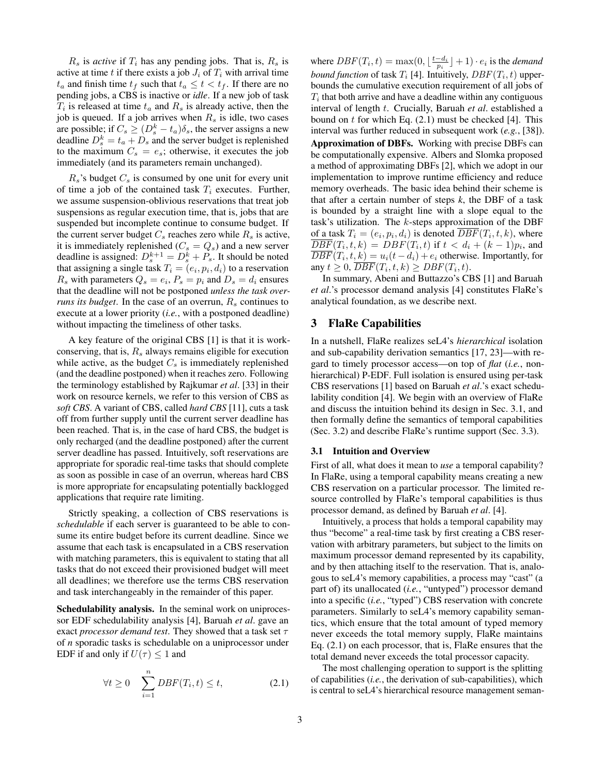$R_s$  is *active* if  $T_i$  has any pending jobs. That is,  $R_s$  is active at time t if there exists a job  $J_i$  of  $T_i$  with arrival time  $t_a$  and finish time  $t_f$  such that  $t_a \leq t < t_f$ . If there are no pending jobs, a CBS is inactive or *idle*. If a new job of task  $T_i$  is released at time  $t_a$  and  $R_s$  is already active, then the job is queued. If a job arrives when  $R_s$  is idle, two cases are possible; if  $C_s \geq (D_s^k - t_a)\delta_s$ , the server assigns a new deadline  $D_s^k = t_a + D_s$  and the server budget is replenished to the maximum  $C_s = e_s$ ; otherwise, it executes the job immediately (and its parameters remain unchanged).

 $R_s$ 's budget  $C_s$  is consumed by one unit for every unit of time a job of the contained task  $T_i$  executes. Further, we assume suspension-oblivious reservations that treat job suspensions as regular execution time, that is, jobs that are suspended but incomplete continue to consume budget. If the current server budget  $C_s$  reaches zero while  $R_s$  is active, it is immediately replenished ( $C_s = Q_s$ ) and a new server deadline is assigned:  $D_s^{k+1} = D_s^k + P_s$ . It should be noted that assigning a single task  $T_i = (e_i, p_i, d_i)$  to a reservation  $R_s$  with parameters  $Q_s = e_i$ ,  $P_s = p_i$  and  $D_s = d_i$  ensures that the deadline will not be postponed *unless the task overruns its budget*. In the case of an overrun,  $R_s$  continues to execute at a lower priority (*i.e.*, with a postponed deadline) without impacting the timeliness of other tasks.

A key feature of the original CBS [\[1\]](#page-9-15) is that it is workconserving, that is,  $R_s$  always remains eligible for execution while active, as the budget  $C_s$  is immediately replenished (and the deadline postponed) when it reaches zero. Following the terminology established by Rajkumar *et al*. [\[33\]](#page-9-16) in their work on resource kernels, we refer to this version of CBS as *soft CBS*. A variant of CBS, called *hard CBS* [\[11\]](#page-9-17), cuts a task off from further supply until the current server deadline has been reached. That is, in the case of hard CBS, the budget is only recharged (and the deadline postponed) after the current server deadline has passed. Intuitively, soft reservations are appropriate for sporadic real-time tasks that should complete as soon as possible in case of an overrun, whereas hard CBS is more appropriate for encapsulating potentially backlogged applications that require rate limiting.

Strictly speaking, a collection of CBS reservations is *schedulable* if each server is guaranteed to be able to consume its entire budget before its current deadline. Since we assume that each task is encapsulated in a CBS reservation with matching parameters, this is equivalent to stating that all tasks that do not exceed their provisioned budget will meet all deadlines; we therefore use the terms CBS reservation and task interchangeably in the remainder of this paper.

Schedulability analysis. In the seminal work on uniprocessor EDF schedulability analysis [\[4\]](#page-9-13), Baruah *et al*. gave an exact *processor demand test*. They showed that a task set τ of *n* sporadic tasks is schedulable on a uniprocessor under EDF if and only if  $U(\tau) < 1$  and

<span id="page-2-1"></span>
$$
\forall t \ge 0 \quad \sum_{i=1}^{n} DBF(T_i, t) \le t,
$$
 (2.1)

where  $DBF(T_i, t) = \max(0, \lfloor \frac{t - d_i}{p_i} \rfloor + 1) \cdot e_i$  is the *demand bound function* of task  $T_i$  [\[4\]](#page-9-13). Intuitively,  $DBF(T_i, t)$  upperbounds the cumulative execution requirement of all jobs of  $T_i$  that both arrive and have a deadline within any contiguous interval of length t. Crucially, Baruah *et al*. established a bound on  $t$  for which Eq.  $(2.1)$  must be checked [\[4\]](#page-9-13). This interval was further reduced in subsequent work (*e.g.*, [\[38\]](#page-9-18)). Approximation of DBFs. Working with precise DBFs can be computationally expensive. Albers and Slomka proposed a method of approximating DBFs [\[2\]](#page-9-19), which we adopt in our implementation to improve runtime efficiency and reduce memory overheads. The basic idea behind their scheme is that after a certain number of steps *k*, the DBF of a task is bounded by a straight line with a slope equal to the task's utilization. The  $k$ -steps approximation of the DBF of a task  $T_i = (e_i, p_i, d_i)$  is denoted  $DBF(T_i, t, k)$ , where  $\overline{DBF}(T_i,t,k) = DBF(T_i,t)$  if  $t < d_i + (k-1)p_i$ , and  $DBF(T_i, t, k) = u_i(t - d_i) + e_i$  otherwise. Importantly, for any  $t \geq 0$ ,  $\overline{DBF}(T_i, t, k) \geq DBF(T_i, t)$ .

In summary, Abeni and Buttazzo's CBS [\[1\]](#page-9-15) and Baruah *et al*.'s processor demand analysis [\[4\]](#page-9-13) constitutes FlaRe's analytical foundation, as we describe next.

## <span id="page-2-0"></span>3 FlaRe Capabilities

In a nutshell, FlaRe realizes seL4's *hierarchical* isolation and sub-capability derivation semantics [\[17,](#page-9-8) [23\]](#page-9-5)—with regard to timely processor access—on top of *flat* (*i.e.*, nonhierarchical) P-EDF. Full isolation is ensured using per-task CBS reservations [\[1\]](#page-9-15) based on Baruah *et al*.'s exact schedulability condition [\[4\]](#page-9-13). We begin with an overview of FlaRe and discuss the intuition behind its design in Sec. [3.1,](#page-2-2) and then formally define the semantics of temporal capabilities (Sec. [3.2\)](#page-3-0) and describe FlaRe's runtime support (Sec. [3.3\)](#page-4-0).

#### <span id="page-2-2"></span>3.1 Intuition and Overview

First of all, what does it mean to *use* a temporal capability? In FlaRe, using a temporal capability means creating a new CBS reservation on a particular processor. The limited resource controlled by FlaRe's temporal capabilities is thus processor demand, as defined by Baruah *et al*. [\[4\]](#page-9-13).

Intuitively, a process that holds a temporal capability may thus "become" a real-time task by first creating a CBS reservation with arbitrary parameters, but subject to the limits on maximum processor demand represented by its capability, and by then attaching itself to the reservation. That is, analogous to seL4's memory capabilities, a process may "cast" (a part of) its unallocated (*i.e.*, "untyped") processor demand into a specific (*i.e.*, "typed") CBS reservation with concrete parameters. Similarly to seL4's memory capability semantics, which ensure that the total amount of typed memory never exceeds the total memory supply, FlaRe maintains Eq. [\(2.1\)](#page-2-1) on each processor, that is, FlaRe ensures that the total demand never exceeds the total processor capacity.

The most challenging operation to support is the splitting of capabilities (*i.e.*, the derivation of sub-capabilities), which is central to seL4's hierarchical resource management seman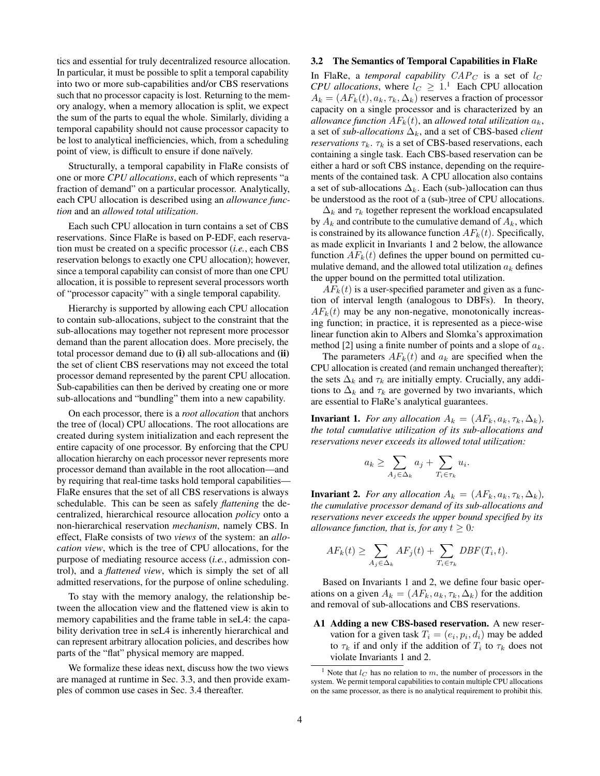tics and essential for truly decentralized resource allocation. In particular, it must be possible to split a temporal capability into two or more sub-capabilities and/or CBS reservations such that no processor capacity is lost. Returning to the memory analogy, when a memory allocation is split, we expect the sum of the parts to equal the whole. Similarly, dividing a temporal capability should not cause processor capacity to be lost to analytical inefficiencies, which, from a scheduling point of view, is difficult to ensure if done naïvely.

Structurally, a temporal capability in FlaRe consists of one or more *CPU allocations*, each of which represents "a fraction of demand" on a particular processor. Analytically, each CPU allocation is described using an *allowance function* and an *allowed total utilization*.

Each such CPU allocation in turn contains a set of CBS reservations. Since FlaRe is based on P-EDF, each reservation must be created on a specific processor (*i.e.*, each CBS reservation belongs to exactly one CPU allocation); however, since a temporal capability can consist of more than one CPU allocation, it is possible to represent several processors worth of "processor capacity" with a single temporal capability.

Hierarchy is supported by allowing each CPU allocation to contain sub-allocations, subject to the constraint that the sub-allocations may together not represent more processor demand than the parent allocation does. More precisely, the total processor demand due to (i) all sub-allocations and (ii) the set of client CBS reservations may not exceed the total processor demand represented by the parent CPU allocation. Sub-capabilities can then be derived by creating one or more sub-allocations and "bundling" them into a new capability.

On each processor, there is a *root allocation* that anchors the tree of (local) CPU allocations. The root allocations are created during system initialization and each represent the entire capacity of one processor. By enforcing that the CPU allocation hierarchy on each processor never represents more processor demand than available in the root allocation—and by requiring that real-time tasks hold temporal capabilities— FlaRe ensures that the set of all CBS reservations is always schedulable. This can be seen as safely *flattening* the decentralized, hierarchical resource allocation *policy* onto a non-hierarchical reservation *mechanism*, namely CBS. In effect, FlaRe consists of two *views* of the system: an *allocation view*, which is the tree of CPU allocations, for the purpose of mediating resource access (*i.e.*, admission control), and a *flattened view*, which is simply the set of all admitted reservations, for the purpose of online scheduling.

To stay with the memory analogy, the relationship between the allocation view and the flattened view is akin to memory capabilities and the frame table in seL4: the capability derivation tree in seL4 is inherently hierarchical and can represent arbitrary allocation policies, and describes how parts of the "flat" physical memory are mapped.

We formalize these ideas next, discuss how the two views are managed at runtime in Sec. [3.3,](#page-4-0) and then provide examples of common use cases in Sec. [3.4](#page-4-1) thereafter.

#### <span id="page-3-0"></span>3.2 The Semantics of Temporal Capabilities in FlaRe

In FlaRe, a *temporal capability*  $CAP_C$  is a set of  $l_C$ *CPU allocations*, where  $l_C \geq 1$  $l_C \geq 1$ .<sup>1</sup> Each CPU allocation  $A_k = (AF_k(t), a_k, \tau_k, \Delta_k)$  reserves a fraction of processor capacity on a single processor and is characterized by an *allowance function*  $AF_k(t)$ , an *allowed total utilization*  $a_k$ , a set of *sub-allocations*  $\Delta_k$ , and a set of CBS-based *client reservations*  $\tau_k$ .  $\tau_k$  is a set of CBS-based reservations, each containing a single task. Each CBS-based reservation can be either a hard or soft CBS instance, depending on the requirements of the contained task. A CPU allocation also contains a set of sub-allocations  $\Delta_k$ . Each (sub-)allocation can thus be understood as the root of a (sub-)tree of CPU allocations.

 $\Delta_k$  and  $\tau_k$  together represent the workload encapsulated by  $A_k$  and contribute to the cumulative demand of  $A_k$ , which is constrained by its allowance function  $AF_k(t)$ . Specifically, as made explicit in Invariants [1](#page-3-2) and [2](#page-3-3) below, the allowance function  $AF_k(t)$  defines the upper bound on permitted cumulative demand, and the allowed total utilization  $a_k$  defines the upper bound on the permitted total utilization.

 $AF_k(t)$  is a user-specified parameter and given as a function of interval length (analogous to DBFs). In theory,  $AF_k(t)$  may be any non-negative, monotonically increasing function; in practice, it is represented as a piece-wise linear function akin to Albers and Slomka's approximation method [\[2\]](#page-9-19) using a finite number of points and a slope of  $a_k$ .

The parameters  $AF_k(t)$  and  $a_k$  are specified when the CPU allocation is created (and remain unchanged thereafter); the sets  $\Delta_k$  and  $\tau_k$  are initially empty. Crucially, any additions to  $\Delta_k$  and  $\tau_k$  are governed by two invariants, which are essential to FlaRe's analytical guarantees.

<span id="page-3-2"></span>**Invariant 1.** *For any allocation*  $A_k = (AF_k, a_k, \tau_k, \Delta_k)$ , *the total cumulative utilization of its sub-allocations and reservations never exceeds its allowed total utilization:*

<span id="page-3-4"></span>
$$
a_k \ge \sum_{A_j \in \Delta_k} a_j + \sum_{T_i \in \tau_k} u_i.
$$

<span id="page-3-3"></span>**Invariant 2.** *For any allocation*  $A_k = (AF_k, a_k, \tau_k, \Delta_k)$ , *the cumulative processor demand of its sub-allocations and reservations never exceeds the upper bound specified by its allowance function, that is, for any*  $t \geq 0$ *:* 

$$
AF_k(t) \ge \sum_{A_j \in \Delta_k} AF_j(t) + \sum_{T_i \in \tau_k} DBF(T_i, t).
$$

Based on Invariants [1](#page-3-2) and [2,](#page-3-3) we define four basic operations on a given  $A_k = (AF_k, a_k, \tau_k, \Delta_k)$  for the addition and removal of sub-allocations and CBS reservations.

A1 Adding a new CBS-based reservation. A new reservation for a given task  $T_i = (e_i, p_i, d_i)$  may be added to  $\tau_k$  if and only if the addition of  $T_i$  to  $\tau_k$  does not violate Invariants [1](#page-3-2) and [2.](#page-3-3)

<span id="page-3-1"></span><sup>&</sup>lt;sup>1</sup> Note that  $l_C$  has no relation to m, the number of processors in the system. We permit temporal capabilities to contain multiple CPU allocations on the same processor, as there is no analytical requirement to prohibit this.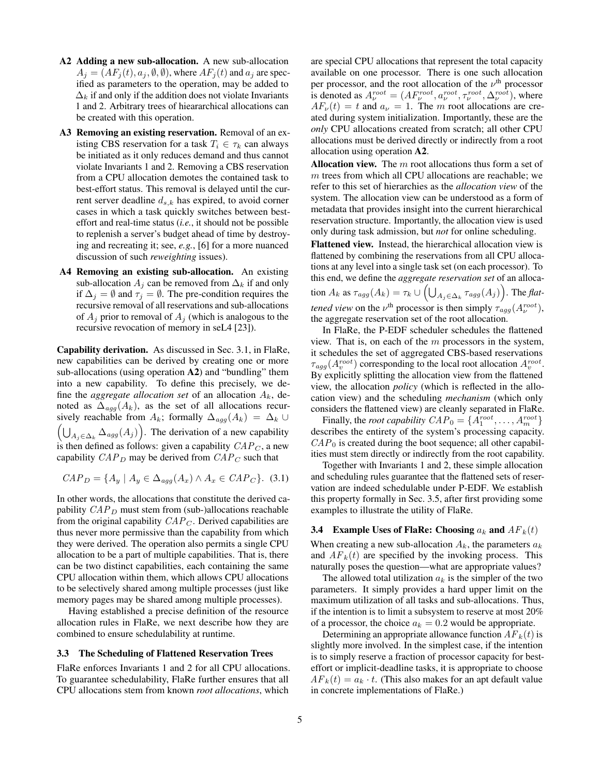- A2 Adding a new sub-allocation. A new sub-allocation  $A_i = (AF_i(t), a_i, \emptyset, \emptyset)$ , where  $AF_i(t)$  and  $a_i$  are specified as parameters to the operation, may be added to  $\Delta_k$  if and only if the addition does not violate Invariants [1](#page-3-2) and [2.](#page-3-3) Arbitrary trees of hieararchical allocations can be created with this operation.
- A3 Removing an existing reservation. Removal of an existing CBS reservation for a task  $T_i \in \tau_k$  can always be initiated as it only reduces demand and thus cannot violate Invariants [1](#page-3-2) and [2.](#page-3-3) Removing a CBS reservation from a CPU allocation demotes the contained task to best-effort status. This removal is delayed until the current server deadline  $d_{s,k}$  has expired, to avoid corner cases in which a task quickly switches between besteffort and real-time status (*i.e.*, it should not be possible to replenish a server's budget ahead of time by destroying and recreating it; see, *e.g.*, [\[6\]](#page-9-20) for a more nuanced discussion of such *reweighting* issues).
- A4 Removing an existing sub-allocation. An existing sub-allocation  $A_i$  can be removed from  $\Delta_k$  if and only if  $\Delta_j = \emptyset$  and  $\tau_j = \emptyset$ . The pre-condition requires the recursive removal of all reservations and sub-allocations of  $A_j$  prior to removal of  $A_j$  (which is analogous to the recursive revocation of memory in seL4 [\[23\]](#page-9-5)).

Capability derivation. As discussed in Sec. [3.1,](#page-2-2) in FlaRe, new capabilities can be derived by creating one or more sub-allocations (using operation A2) and "bundling" them into a new capability. To define this precisely, we define the *aggregate allocation set* of an allocation  $A_k$ , denoted as  $\Delta_{agg}(A_k)$ , as the set of all allocations recursively reachable from  $A_k$ ; formally  $\Delta_{agg}(A_k) = \Delta_k \cup$  $\left(\bigcup_{A_j \in \Delta_k} \Delta_{agg}(A_j)\right)$ . The derivation of a new capability is then defined as follows: given a capability  $CAP<sub>C</sub>$ , a new capability  $CAP_D$  may be derived from  $CAP_C$  such that

$$
CAP_D = \{A_y \mid A_y \in \Delta_{agg}(A_x) \land A_x \in CAP_C\}.
$$
 (3.1)

In other words, the allocations that constitute the derived capability  $CAP<sub>D</sub>$  must stem from (sub-)allocations reachable from the original capability  $CAP<sub>C</sub>$ . Derived capabilities are thus never more permissive than the capability from which they were derived. The operation also permits a single CPU allocation to be a part of multiple capabilities. That is, there can be two distinct capabilities, each containing the same CPU allocation within them, which allows CPU allocations to be selectively shared among multiple processes (just like memory pages may be shared among multiple processes).

Having established a precise definition of the resource allocation rules in FlaRe, we next describe how they are combined to ensure schedulability at runtime.

#### <span id="page-4-0"></span>3.3 The Scheduling of Flattened Reservation Trees

FlaRe enforces Invariants [1](#page-3-2) and [2](#page-3-3) for all CPU allocations. To guarantee schedulability, FlaRe further ensures that all CPU allocations stem from known *root allocations*, which

are special CPU allocations that represent the total capacity available on one processor. There is one such allocation per processor, and the root allocation of the  $\nu$ <sup>th</sup> processor is denoted as  $A_{\nu}^{root} = (AF_{\nu}^{root}, a_{\nu}^{root}, \tau_{\nu}^{root}, \Delta_{\nu}^{root})$ , where  $AF_{\nu}(t) = t$  and  $a_{\nu} = 1$ . The m root allocations are created during system initialization. Importantly, these are the *only* CPU allocations created from scratch; all other CPU allocations must be derived directly or indirectly from a root allocation using operation A2.

Allocation view. The  $m$  root allocations thus form a set of m trees from which all CPU allocations are reachable; we refer to this set of hierarchies as the *allocation view* of the system. The allocation view can be understood as a form of metadata that provides insight into the current hierarchical reservation structure. Importantly, the allocation view is used only during task admission, but *not* for online scheduling.

Flattened view. Instead, the hierarchical allocation view is flattened by combining the reservations from all CPU allocations at any level into a single task set (on each processor). To this end, we define the *aggregate reservation set* of an allocation  $A_k$  as  $\tau_{agg}(A_k) = \tau_k \cup \left(\bigcup_{A_j \in \Delta_k} \tau_{agg}(A_j)\right)$ . The *flattened view* on the  $\nu^{\text{th}}$  processor is then simply  $\tau_{agg}(A_{\nu}^{root}),$ the aggregate reservation set of the root allocation.

In FlaRe, the P-EDF scheduler schedules the flattened view. That is, on each of the  $m$  processors in the system, it schedules the set of aggregated CBS-based reservations  $\tau_{agg}(A_v^{root})$  corresponding to the local root allocation  $A_v^{root}$ . By explicitly splitting the allocation view from the flattened view, the allocation *policy* (which is reflected in the allocation view) and the scheduling *mechanism* (which only considers the flattened view) are cleanly separated in FlaRe.

Finally, the *root capability*  $CAP_0 = \{A_1^{root}, \ldots, A_m^{root}\}$ describes the entirety of the system's processing capacity.  $CAP<sub>0</sub>$  is created during the boot sequence; all other capabilities must stem directly or indirectly from the root capability.

Together with Invariants [1](#page-3-2) and [2,](#page-3-3) these simple allocation and scheduling rules guarantee that the flattened sets of reservation are indeed schedulable under P-EDF. We establish this property formally in Sec. [3.5,](#page-5-0) after first providing some examples to illustrate the utility of FlaRe.

#### <span id="page-4-1"></span>**3.4** Example Uses of FlaRe: Choosing  $a_k$  and  $AF_k(t)$

When creating a new sub-allocation  $A_k$ , the parameters  $a_k$ and  $AF_k(t)$  are specified by the invoking process. This naturally poses the question—what are appropriate values?

The allowed total utilization  $a_k$  is the simpler of the two parameters. It simply provides a hard upper limit on the maximum utilization of all tasks and sub-allocations. Thus, if the intention is to limit a subsystem to reserve at most 20% of a processor, the choice  $a_k = 0.2$  would be appropriate.

Determining an appropriate allowance function  $AF_k(t)$  is slightly more involved. In the simplest case, if the intention is to simply reserve a fraction of processor capacity for besteffort or implicit-deadline tasks, it is appropriate to choose  $AF_k(t) = a_k \cdot t$ . (This also makes for an apt default value in concrete implementations of FlaRe.)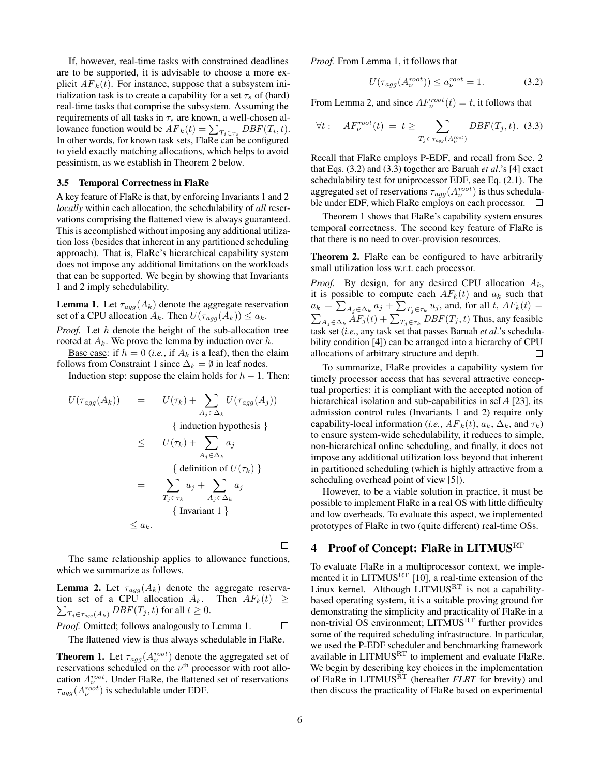If, however, real-time tasks with constrained deadlines are to be supported, it is advisable to choose a more explicit  $AF_k(t)$ . For instance, suppose that a subsystem initialization task is to create a capability for a set  $\tau_s$  of (hard) real-time tasks that comprise the subsystem. Assuming the requirements of all tasks in  $\tau_s$  are known, a well-chosen allowance function would be  $AF_k(t) = \sum_{T_i \in \tau_s} DBF(T_i, t)$ . In other words, for known task sets, FlaRe can be configured to yield exactly matching allocations, which helps to avoid pessimism, as we establish in Theorem [2](#page-5-2) below.

#### <span id="page-5-0"></span>3.5 Temporal Correctness in FlaRe

A key feature of FlaRe is that, by enforcing Invariants [1](#page-3-2) and [2](#page-3-3) *locally* within each allocation, the schedulability of *all* reservations comprising the flattened view is always guaranteed. This is accomplished without imposing any additional utilization loss (besides that inherent in any partitioned scheduling approach). That is, FlaRe's hierarchical capability system does not impose any additional limitations on the workloads that can be supported. We begin by showing that Invariants [1](#page-3-2) and [2](#page-3-3) imply schedulability.

<span id="page-5-3"></span>**Lemma 1.** Let  $\tau_{agg}(A_k)$  denote the aggregate reservation set of a CPU allocation  $A_k$ . Then  $U(\tau_{agg}(A_k)) \le a_k$ .

*Proof.* Let h denote the height of the sub-allocation tree rooted at  $A_k$ . We prove the lemma by induction over h.

Base case: if  $h = 0$  (*i.e.*, if  $A_k$  is a leaf), then the claim follows from Constraint [1](#page-3-2) since  $\Delta_k = \emptyset$  in leaf nodes.

Induction step: suppose the claim holds for  $h - 1$ . Then:

$$
U(\tau_{agg}(A_k)) = U(\tau_k) + \sum_{A_j \in \Delta_k} U(\tau_{agg}(A_j))
$$
  
{ induction hypothesis }\n
$$
\leq U(\tau_k) + \sum_{A_j \in \Delta_k} a_j
$$
  
{ definition of  $U(\tau_k)$  }\n
$$
= \sum_{T_j \in \tau_k} u_j + \sum_{A_j \in \Delta_k} a_j
$$
  
{ Invariant 1 }\n
$$
\leq a_k.
$$

The same relationship applies to allowance functions, which we summarize as follows.

<span id="page-5-4"></span>**Lemma 2.** Let  $\tau_{agg}(A_k)$  denote the aggregate reservation set of a CPU allocation  $A_k$ .  $\sum_{T_j\in \tau_{agg}(A_k)} DBF(T_j,t)$  for all  $t\geq 0.$ Then  $AF_k(t) \geq$ 

*Proof.* Omitted; follows analogously to Lemma [1.](#page-5-3)  $\Box$ 

The flattened view is thus always schedulable in FlaRe.

<span id="page-5-7"></span>**Theorem 1.** Let  $\tau_{agg}(A_{\nu}^{root})$  denote the aggregated set of reservations scheduled on the  $\nu$ <sup>th</sup> processor with root allocation  $A_{\nu}^{root}$ . Under FlaRe, the flattened set of reservations  $\tau_{agg}(A_{\nu}^{root})$  is schedulable under EDF.

*Proof.* From Lemma [1,](#page-5-3) it follows that

<span id="page-5-5"></span>
$$
U(\tau_{agg}(A_{\nu}^{root})) \le a_{\nu}^{root} = 1.
$$
 (3.2)

From Lemma [2,](#page-5-4) and since  $AF_{\nu}^{root}(t) = t$ , it follows that

<span id="page-5-6"></span>
$$
\forall t: \quad AF_{\nu}^{root}(t) = t \ge \sum_{T_j \in \tau_{agg}(A_{\nu}^{root})} DBF(T_j, t). \tag{3.3}
$$

Recall that FlaRe employs P-EDF, and recall from Sec. [2](#page-1-0) that Eqs. [\(3.2\)](#page-5-5) and [\(3.3\)](#page-5-6) together are Baruah *et al*.'s [\[4\]](#page-9-13) exact schedulability test for uniprocessor EDF, see Eq. [\(2.1\)](#page-2-1). The aggregated set of reservations  $\tau_{agg}(A_{\nu}^{root})$  is thus schedulable under EDF, which FlaRe employs on each processor.  $\Box$ 

Theorem [1](#page-5-7) shows that FlaRe's capability system ensures temporal correctness. The second key feature of FlaRe is that there is no need to over-provision resources.

<span id="page-5-2"></span>Theorem 2. FlaRe can be configured to have arbitrarily small utilization loss w.r.t. each processor.

*Proof.* By design, for any desired CPU allocation  $A_k$ , it is possible to compute each  $AF_k(t)$  and  $a_k$  such that  $a_k = \sum_{A_j \in \Delta_k} a_j + \sum_{T_j \in \tau_k} u_j$ , and, for all t,  $AF_k(t) =$  $\sum_{A_j \in \Delta_k} AF_j(t) + \sum_{T_j \in \tau_k} DBF(T_j, t)$  Thus, any feasible task set (*i.e.*, any task set that passes Baruah *et al*.'s schedulability condition [\[4\]](#page-9-13)) can be arranged into a hierarchy of CPU allocations of arbitrary structure and depth.  $\Box$ 

To summarize, FlaRe provides a capability system for timely processor access that has several attractive conceptual properties: it is compliant with the accepted notion of hierarchical isolation and sub-capabilities in seL4 [\[23\]](#page-9-5), its admission control rules (Invariants [1](#page-3-2) and [2\)](#page-3-3) require only capability-local information (*i.e.*,  $AF_k(t)$ ,  $a_k$ ,  $\Delta_k$ , and  $\tau_k$ ) to ensure system-wide schedulability, it reduces to simple, non-hierarchical online scheduling, and finally, it does not impose any additional utilization loss beyond that inherent in partitioned scheduling (which is highly attractive from a scheduling overhead point of view [\[5\]](#page-9-12)).

However, to be a viable solution in practice, it must be possible to implement FlaRe in a real OS with little difficulty and low overheads. To evaluate this aspect, we implemented prototypes of FlaRe in two (quite different) real-time OSs.

# <span id="page-5-1"></span>4 Proof of Concept: FlaRe in LITMUS<sup>RT</sup>

To evaluate FlaRe in a multiprocessor context, we imple-mented it in LITMUS<sup>RT</sup> [\[10\]](#page-9-21), a real-time extension of the Linux kernel. Although LITMUS<sup>RT</sup> is not a capabilitybased operating system, it is a suitable proving ground for demonstrating the simplicity and practicality of FlaRe in a non-trivial OS environment; LITMUSRT further provides some of the required scheduling infrastructure. In particular, we used the P-EDF scheduler and benchmarking framework available in LITMUSRT to implement and evaluate FlaRe. We begin by describing key choices in the implementation of FlaRe in LITMUS<sup>RT</sup> (hereafter *FLRT* for brevity) and then discuss the practicality of FlaRe based on experimental

 $\Box$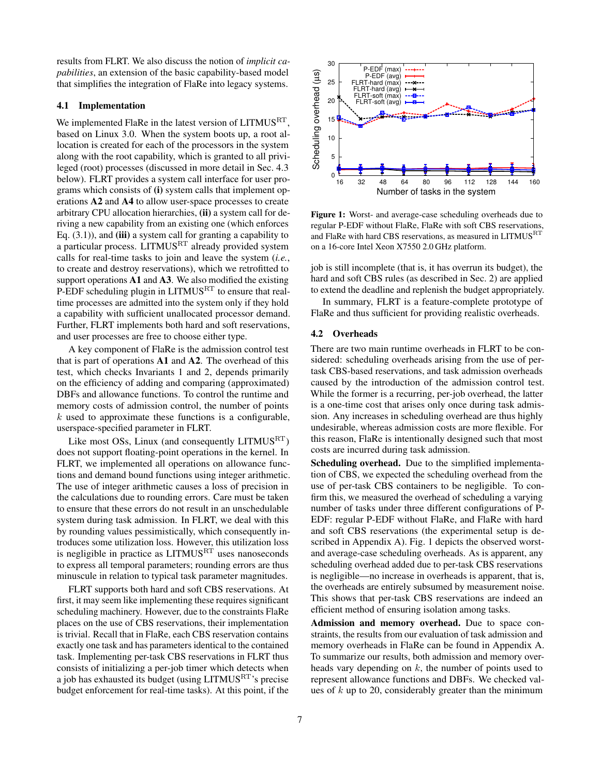results from FLRT. We also discuss the notion of *implicit capabilities*, an extension of the basic capability-based model that simplifies the integration of FlaRe into legacy systems.

#### 4.1 Implementation

We implemented FlaRe in the latest version of LITMUS<sup>RT</sup>, based on Linux 3.0. When the system boots up, a root allocation is created for each of the processors in the system along with the root capability, which is granted to all privileged (root) processes (discussed in more detail in Sec. [4.3](#page-7-1) below). FLRT provides a system call interface for user programs which consists of (i) system calls that implement operations A2 and A4 to allow user-space processes to create arbitrary CPU allocation hierarchies, (ii) a system call for deriving a new capability from an existing one (which enforces Eq.  $(3.1)$ , and (iii) a system call for granting a capability to a particular process. LITMUSRT already provided system calls for real-time tasks to join and leave the system (*i.e.*, to create and destroy reservations), which we retrofitted to support operations A1 and A3. We also modified the existing P-EDF scheduling plugin in LITMUS<sup>RT</sup> to ensure that realtime processes are admitted into the system only if they hold a capability with sufficient unallocated processor demand. Further, FLRT implements both hard and soft reservations, and user processes are free to choose either type.

A key component of FlaRe is the admission control test that is part of operations A1 and A2. The overhead of this test, which checks Invariants [1](#page-3-2) and [2,](#page-3-3) depends primarily on the efficiency of adding and comparing (approximated) DBFs and allowance functions. To control the runtime and memory costs of admission control, the number of points  $k$  used to approximate these functions is a configurable, userspace-specified parameter in FLRT.

Like most OSs, Linux (and consequently LITMUS<sup>RT</sup>) does not support floating-point operations in the kernel. In FLRT, we implemented all operations on allowance functions and demand bound functions using integer arithmetic. The use of integer arithmetic causes a loss of precision in the calculations due to rounding errors. Care must be taken to ensure that these errors do not result in an unschedulable system during task admission. In FLRT, we deal with this by rounding values pessimistically, which consequently introduces some utilization loss. However, this utilization loss is negligible in practice as  $LITMUS<sup>RT</sup>$  uses nanoseconds to express all temporal parameters; rounding errors are thus minuscule in relation to typical task parameter magnitudes.

FLRT supports both hard and soft CBS reservations. At first, it may seem like implementing these requires significant scheduling machinery. However, due to the constraints FlaRe places on the use of CBS reservations, their implementation is trivial. Recall that in FlaRe, each CBS reservation contains exactly one task and has parameters identical to the contained task. Implementing per-task CBS reservations in FLRT thus consists of initializing a per-job timer which detects when a job has exhausted its budget (using LITMUSRT's precise budget enforcement for real-time tasks). At this point, if the

<span id="page-6-0"></span>

Figure 1: Worst- and average-case scheduling overheads due to regular P-EDF without FlaRe, FlaRe with soft CBS reservations, and FlaRe with hard CBS reservations, as measured in LITMUS<sup>RT</sup> on a 16-core Intel Xeon X7550 2.0 GHz platform.

job is still incomplete (that is, it has overrun its budget), the hard and soft CBS rules (as described in Sec. [2\)](#page-1-0) are applied to extend the deadline and replenish the budget appropriately.

In summary, FLRT is a feature-complete prototype of FlaRe and thus sufficient for providing realistic overheads.

#### 4.2 Overheads

There are two main runtime overheads in FLRT to be considered: scheduling overheads arising from the use of pertask CBS-based reservations, and task admission overheads caused by the introduction of the admission control test. While the former is a recurring, per-job overhead, the latter is a one-time cost that arises only once during task admission. Any increases in scheduling overhead are thus highly undesirable, whereas admission costs are more flexible. For this reason, FlaRe is intentionally designed such that most costs are incurred during task admission.

Scheduling overhead. Due to the simplified implementation of CBS, we expected the scheduling overhead from the use of per-task CBS containers to be negligible. To confirm this, we measured the overhead of scheduling a varying number of tasks under three different configurations of P-EDF: regular P-EDF without FlaRe, and FlaRe with hard and soft CBS reservations (the experimental setup is described in Appendix [A\)](#page-10-0). Fig. [1](#page-6-0) depicts the observed worstand average-case scheduling overheads. As is apparent, any scheduling overhead added due to per-task CBS reservations is negligible—no increase in overheads is apparent, that is, the overheads are entirely subsumed by measurement noise. This shows that per-task CBS reservations are indeed an efficient method of ensuring isolation among tasks.

Admission and memory overhead. Due to space constraints, the results from our evaluation of task admission and memory overheads in FlaRe can be found in Appendix [A.](#page-10-0) To summarize our results, both admission and memory overheads vary depending on  $k$ , the number of points used to represent allowance functions and DBFs. We checked values of  $k$  up to 20, considerably greater than the minimum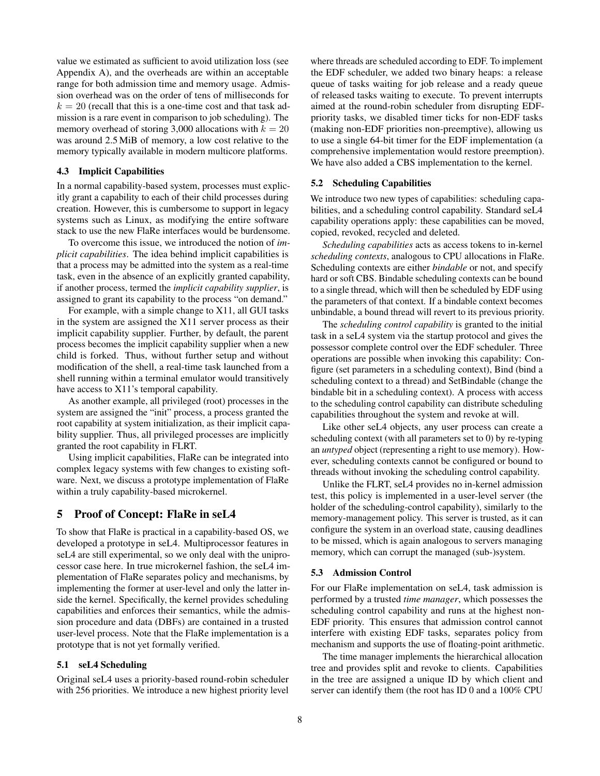value we estimated as sufficient to avoid utilization loss (see Appendix [A\)](#page-10-0), and the overheads are within an acceptable range for both admission time and memory usage. Admission overhead was on the order of tens of milliseconds for  $k = 20$  (recall that this is a one-time cost and that task admission is a rare event in comparison to job scheduling). The memory overhead of storing 3,000 allocations with  $k = 20$ was around 2.5 MiB of memory, a low cost relative to the memory typically available in modern multicore platforms.

#### <span id="page-7-1"></span>4.3 Implicit Capabilities

In a normal capability-based system, processes must explicitly grant a capability to each of their child processes during creation. However, this is cumbersome to support in legacy systems such as Linux, as modifying the entire software stack to use the new FlaRe interfaces would be burdensome.

To overcome this issue, we introduced the notion of *implicit capabilities*. The idea behind implicit capabilities is that a process may be admitted into the system as a real-time task, even in the absence of an explicitly granted capability, if another process, termed the *implicit capability supplier*, is assigned to grant its capability to the process "on demand."

For example, with a simple change to X11, all GUI tasks in the system are assigned the X11 server process as their implicit capability supplier. Further, by default, the parent process becomes the implicit capability supplier when a new child is forked. Thus, without further setup and without modification of the shell, a real-time task launched from a shell running within a terminal emulator would transitively have access to X11's temporal capability.

As another example, all privileged (root) processes in the system are assigned the "init" process, a process granted the root capability at system initialization, as their implicit capability supplier. Thus, all privileged processes are implicitly granted the root capability in FLRT.

Using implicit capabilities, FlaRe can be integrated into complex legacy systems with few changes to existing software. Next, we discuss a prototype implementation of FlaRe within a truly capability-based microkernel.

## <span id="page-7-0"></span>5 Proof of Concept: FlaRe in seL4

To show that FlaRe is practical in a capability-based OS, we developed a prototype in seL4. Multiprocessor features in seL4 are still experimental, so we only deal with the uniprocessor case here. In true microkernel fashion, the seL4 implementation of FlaRe separates policy and mechanisms, by implementing the former at user-level and only the latter inside the kernel. Specifically, the kernel provides scheduling capabilities and enforces their semantics, while the admission procedure and data (DBFs) are contained in a trusted user-level process. Note that the FlaRe implementation is a prototype that is not yet formally verified.

#### 5.1 seL4 Scheduling

Original seL4 uses a priority-based round-robin scheduler with 256 priorities. We introduce a new highest priority level

where threads are scheduled according to EDF. To implement the EDF scheduler, we added two binary heaps: a release queue of tasks waiting for job release and a ready queue of released tasks waiting to execute. To prevent interrupts aimed at the round-robin scheduler from disrupting EDFpriority tasks, we disabled timer ticks for non-EDF tasks (making non-EDF priorities non-preemptive), allowing us to use a single 64-bit timer for the EDF implementation (a comprehensive implementation would restore preemption). We have also added a CBS implementation to the kernel.

#### 5.2 Scheduling Capabilities

We introduce two new types of capabilities: scheduling capabilities, and a scheduling control capability. Standard seL4 capability operations apply: these capabilities can be moved, copied, revoked, recycled and deleted.

*Scheduling capabilities* acts as access tokens to in-kernel *scheduling contexts*, analogous to CPU allocations in FlaRe. Scheduling contexts are either *bindable* or not, and specify hard or soft CBS. Bindable scheduling contexts can be bound to a single thread, which will then be scheduled by EDF using the parameters of that context. If a bindable context becomes unbindable, a bound thread will revert to its previous priority.

The *scheduling control capability* is granted to the initial task in a seL4 system via the startup protocol and gives the possessor complete control over the EDF scheduler. Three operations are possible when invoking this capability: Configure (set parameters in a scheduling context), Bind (bind a scheduling context to a thread) and SetBindable (change the bindable bit in a scheduling context). A process with access to the scheduling control capability can distribute scheduling capabilities throughout the system and revoke at will.

Like other seL4 objects, any user process can create a scheduling context (with all parameters set to 0) by re-typing an *untyped* object (representing a right to use memory). However, scheduling contexts cannot be configured or bound to threads without invoking the scheduling control capability.

Unlike the FLRT, seL4 provides no in-kernel admission test, this policy is implemented in a user-level server (the holder of the scheduling-control capability), similarly to the memory-management policy. This server is trusted, as it can configure the system in an overload state, causing deadlines to be missed, which is again analogous to servers managing memory, which can corrupt the managed (sub-)system.

#### 5.3 Admission Control

For our FlaRe implementation on seL4, task admission is performed by a trusted *time manager*, which possesses the scheduling control capability and runs at the highest non-EDF priority. This ensures that admission control cannot interfere with existing EDF tasks, separates policy from mechanism and supports the use of floating-point arithmetic.

The time manager implements the hierarchical allocation tree and provides split and revoke to clients. Capabilities in the tree are assigned a unique ID by which client and server can identify them (the root has ID 0 and a 100% CPU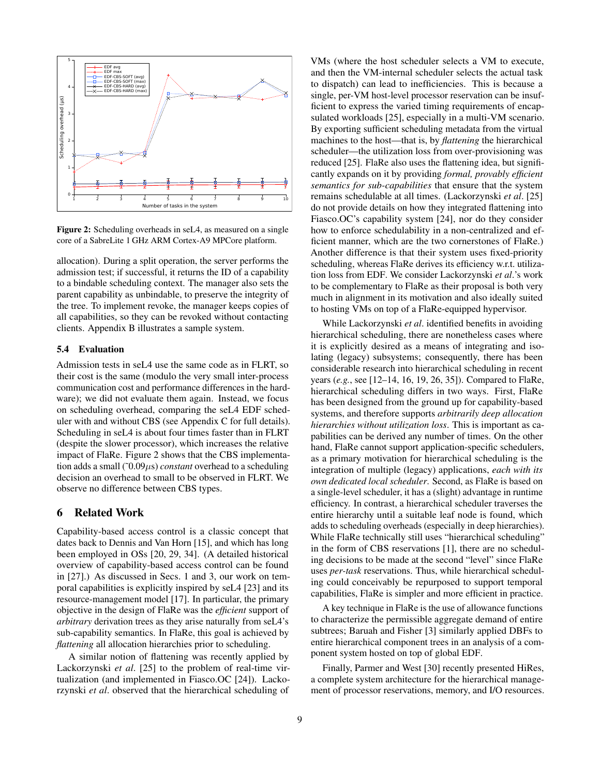<span id="page-8-1"></span>

Figure 2: Scheduling overheads in seL4, as measured on a single core of a SabreLite 1 GHz ARM Cortex-A9 MPCore platform.

allocation). During a split operation, the server performs the admission test; if successful, it returns the ID of a capability to a bindable scheduling context. The manager also sets the parent capability as unbindable, to preserve the integrity of the tree. To implement revoke, the manager keeps copies of all capabilities, so they can be revoked without contacting clients. Appendix [B](#page-11-0) illustrates a sample system.

## 5.4 Evaluation

Admission tests in seL4 use the same code as in FLRT, so their cost is the same (modulo the very small inter-process communication cost and performance differences in the hardware); we did not evaluate them again. Instead, we focus on scheduling overhead, comparing the seL4 EDF scheduler with and without CBS (see Appendix [C](#page-11-1) for full details). Scheduling in seL4 is about four times faster than in FLRT (despite the slower processor), which increases the relative impact of FlaRe. [Figure 2](#page-8-1) shows that the CBS implementation adds a small  $(0.09 \mu s)$  *constant* overhead to a scheduling decision an overhead to small to be observed in FLRT. We observe no difference between CBS types.

## <span id="page-8-0"></span>6 Related Work

Capability-based access control is a classic concept that dates back to Dennis and Van Horn [\[15\]](#page-9-0), and which has long been employed in OSs [\[20,](#page-9-22) [29,](#page-9-23) [34\]](#page-9-2). (A detailed historical overview of capability-based access control can be found in [\[27\]](#page-9-1).) As discussed in Secs. [1](#page-0-0) and [3,](#page-2-0) our work on temporal capabilities is explicitly inspired by seL4 [\[23\]](#page-9-5) and its resource-management model [\[17\]](#page-9-8). In particular, the primary objective in the design of FlaRe was the *efficient* support of *arbitrary* derivation trees as they arise naturally from seL4's sub-capability semantics. In FlaRe, this goal is achieved by *flattening* all allocation hierarchies prior to scheduling.

A similar notion of flattening was recently applied by Lackorzynski *et al*. [\[25\]](#page-9-9) to the problem of real-time virtualization (and implemented in Fiasco.OC [\[24\]](#page-9-3)). Lackorzynski *et al*. observed that the hierarchical scheduling of

VMs (where the host scheduler selects a VM to execute, and then the VM-internal scheduler selects the actual task to dispatch) can lead to inefficiencies. This is because a single, per-VM host-level processor reservation can be insufficient to express the varied timing requirements of encapsulated workloads [\[25\]](#page-9-9), especially in a multi-VM scenario. By exporting sufficient scheduling metadata from the virtual machines to the host—that is, by *flattening* the hierarchical scheduler—the utilization loss from over-provisioning was reduced [\[25\]](#page-9-9). FlaRe also uses the flattening idea, but significantly expands on it by providing *formal, provably efficient semantics for sub-capabilities* that ensure that the system remains schedulable at all times. (Lackorzynski *et al*. [\[25\]](#page-9-9) do not provide details on how they integrated flattening into Fiasco.OC's capability system [\[24\]](#page-9-3), nor do they consider how to enforce schedulability in a non-centralized and efficient manner, which are the two cornerstones of FlaRe.) Another difference is that their system uses fixed-priority scheduling, whereas FlaRe derives its efficiency w.r.t. utilization loss from EDF. We consider Lackorzynski *et al*.'s work to be complementary to FlaRe as their proposal is both very much in alignment in its motivation and also ideally suited to hosting VMs on top of a FlaRe-equipped hypervisor.

While Lackorzynski *et al*. identified benefits in avoiding hierarchical scheduling, there are nonetheless cases where it is explicitly desired as a means of integrating and isolating (legacy) subsystems; consequently, there has been considerable research into hierarchical scheduling in recent years (*e.g.*, see [\[12](#page-9-24)[–14,](#page-9-25) [16,](#page-9-26) [19,](#page-9-27) [26,](#page-9-28) [35\]](#page-9-10)). Compared to FlaRe, hierarchical scheduling differs in two ways. First, FlaRe has been designed from the ground up for capability-based systems, and therefore supports *arbitrarily deep allocation hierarchies without utilization loss*. This is important as capabilities can be derived any number of times. On the other hand, FlaRe cannot support application-specific schedulers, as a primary motivation for hierarchical scheduling is the integration of multiple (legacy) applications, *each with its own dedicated local scheduler*. Second, as FlaRe is based on a single-level scheduler, it has a (slight) advantage in runtime efficiency. In contrast, a hierarchical scheduler traverses the entire hierarchy until a suitable leaf node is found, which adds to scheduling overheads (especially in deep hierarchies). While FlaRe technically still uses "hierarchical scheduling" in the form of CBS reservations [\[1\]](#page-9-15), there are no scheduling decisions to be made at the second "level" since FlaRe uses *per-task* reservations. Thus, while hierarchical scheduling could conceivably be repurposed to support temporal capabilities, FlaRe is simpler and more efficient in practice.

A key technique in FlaRe is the use of allowance functions to characterize the permissible aggregate demand of entire subtrees; Baruah and Fisher [\[3\]](#page-9-29) similarly applied DBFs to entire hierarchical component trees in an analysis of a component system hosted on top of global EDF.

Finally, Parmer and West [\[30\]](#page-9-30) recently presented HiRes, a complete system architecture for the hierarchical management of processor reservations, memory, and I/O resources.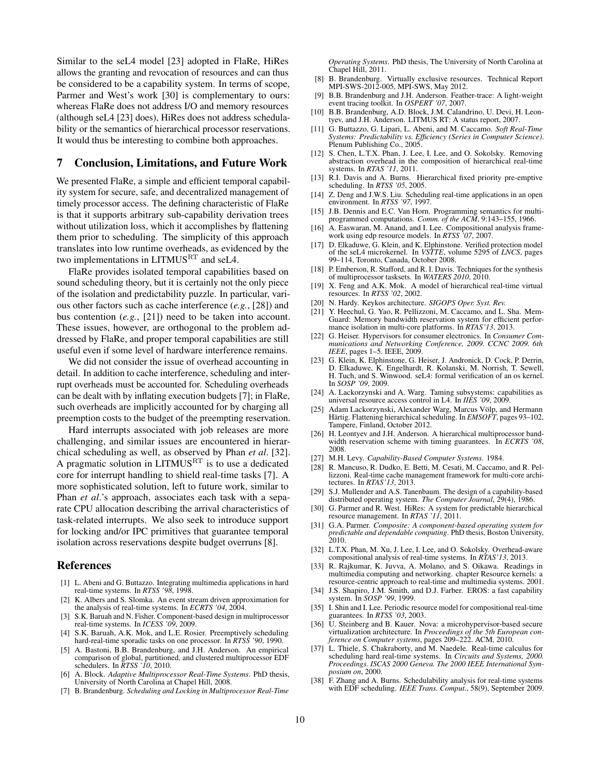Similar to the seL4 model [\[23\]](#page-9-5) adopted in FlaRe, HiRes allows the granting and revocation of resources and can thus be considered to be a capability system. In terms of scope, Parmer and West's work [\[30\]](#page-9-30) is complementary to ours: whereas FlaRe does not address I/O and memory resources (although seL4 [\[23\]](#page-9-5) does), HiRes does not address schedulability or the semantics of hierarchical processor reservations. It would thus be interesting to combine both approaches.

## <span id="page-9-11"></span>7 Conclusion, Limitations, and Future Work

We presented FlaRe, a simple and efficient temporal capability system for secure, safe, and decentralized management of timely processor access. The defining characteristic of FlaRe is that it supports arbitrary sub-capability derivation trees without utilization loss, which it accomplishes by flattening them prior to scheduling. The simplicity of this approach translates into low runtime overheads, as evidenced by the two implementations in  $LITMUS<sup>RT</sup>$  and seL4.

FlaRe provides isolated temporal capabilities based on sound scheduling theory, but it is certainly not the only piece of the isolation and predictability puzzle. In particular, various other factors such as cache interference (*e.g.*, [\[28\]](#page-9-31)) and bus contention (*e.g.*, [\[21\]](#page-9-32)) need to be taken into account. These issues, however, are orthogonal to the problem addressed by FlaRe, and proper temporal capabilities are still useful even if some level of hardware interference remains.

We did not consider the issue of overhead accounting in detail. In addition to cache interference, scheduling and interrupt overheads must be accounted for. Scheduling overheads can be dealt with by inflating execution budgets [\[7\]](#page-9-33); in FlaRe, such overheads are implicitly accounted for by charging all preemption costs to the budget of the preempting reservation.

Hard interrupts associated with job releases are more challenging, and similar issues are encountered in hierarchical scheduling as well, as observed by Phan *et al*. [\[32\]](#page-9-34). A pragmatic solution in LITMUS<sup>RT</sup> is to use a dedicated core for interrupt handling to shield real-time tasks [\[7\]](#page-9-33). A more sophisticated solution, left to future work, similar to Phan *et al*.'s approach, associates each task with a separate CPU allocation describing the arrival characteristics of task-related interrupts. We also seek to introduce support for locking and/or IPC primitives that guarantee temporal isolation across reservations despite budget overruns [\[8\]](#page-9-35).

## References

- <span id="page-9-15"></span>[1] L. Abeni and G. Buttazzo. Integrating multimedia applications in hard real-time systems. In *RTSS '98*, 1998.
- <span id="page-9-19"></span>[2] K. Albers and S. Slomka. An event stream driven approximation for the analysis of real-time systems. In *ECRTS '04*, 2004.
- <span id="page-9-29"></span>[3] S.K. Baruah and N. Fisher. Component-based design in multiprocessor real-time systems. In *ICESS '09*, 2009.
- <span id="page-9-13"></span>[4] S.K. Baruah, A.K. Mok, and L.E. Rosier. Preemptively scheduling hard-real-time sporadic tasks on one processor. In *RTSS '90*, 1990.
- <span id="page-9-12"></span>[5] A. Bastoni, B.B. Brandenburg, and J.H. Anderson. An empirical comparison of global, partitioned, and clustered multiprocessor EDF schedulers. In *RTSS '10*, 2010.
- <span id="page-9-20"></span>[6] A. Block. *Adaptive Multiprocessor Real-Time Systems*. PhD thesis, University of North Carolina at Chapel Hill, 2008.
- <span id="page-9-33"></span>[7] B. Brandenburg. *Scheduling and Locking in Multiprocessor Real-Time*

*Operating Systems*. PhD thesis, The University of North Carolina at Chapel Hill, 2011.

- <span id="page-9-35"></span>[8] B. Brandenburg. Virtually exclusive resources. Technical Report MPI-SWS-2012-005, MPI-SWS, May 2012.
- <span id="page-9-37"></span>[9] B.B. Brandenburg and J.H. Anderson. Feather-trace: A light-weight event tracing toolkit. In *OSPERT '07*, 2007.
- <span id="page-9-21"></span>[10] B.B. Brandenburg, A.D. Block, J.M. Calandrino, U. Devi, H. Leontyev, and J.H. Anderson. LITMUS RT: A status report, 2007.
- <span id="page-9-17"></span>[11] G. Buttazzo, G. Lipari, L. Abeni, and M. Caccamo. *Soft Real-Time Systems: Predictability vs. Efficiency (Series in Computer Science)*. Plenum Publishing Co., 2005.
- <span id="page-9-24"></span>[12] S. Chen, L.T.X. Phan, J. Lee, I. Lee, and O. Sokolsky. Removing abstraction overhead in the composition of hierarchical real-time systems. In *RTAS '11*, 2011.
- [13] R.I. Davis and A. Burns. Hierarchical fixed priority pre-emptive scheduling. In *RTSS '05*, 2005.
- <span id="page-9-25"></span>[14] Z. Deng and J.W.S. Liu. Scheduling real-time applications in an open environment. In *RTSS '97*, 1997.
- <span id="page-9-0"></span>[15] J.B. Dennis and E.C. Van Horn. Programming semantics for multiprogrammed computations. *Comm. of the ACM*, 9:143–155, 1966.
- <span id="page-9-26"></span>[16] A. Easwaran, M. Anand, and I. Lee. Compositional analysis framework using edp resource models. In *RTSS '07*, 2007.
- <span id="page-9-8"></span>[17] D. Elkaduwe, G. Klein, and K. Elphinstone. Verified protection model of the seL4 microkernel. In *VSTTE*, volume 5295 of *LNCS*, pages 99–114, Toronto, Canada, October 2008.
- <span id="page-9-36"></span>[18] P. Emberson, R. Stafford, and R. I. Davis. Techniques for the synthesis of multiprocessor tasksets. In *WATERS 2010*, 2010.
- <span id="page-9-27"></span>[19] X. Feng and A.K. Mok. A model of hierarchical real-time virtual resources. In *RTSS '02*, 2002.
- <span id="page-9-22"></span>[20] N. Hardy. Keykos architecture. *SIGOPS Oper. Syst. Rev.*
- <span id="page-9-32"></span>[21] Y. Heechul, G. Yao, R. Pellizzoni, M. Caccamo, and L. Sha. Mem-Guard: Memory bandwidth reservation system for efficient performance isolation in multi-core platforms. In *RTAS'13*, 2013.
- <span id="page-9-4"></span>[22] G. Heiser. Hypervisors for consumer electronics. In *Consumer Communications and Networking Conference, 2009. CCNC 2009. 6th IEEE*, pages 1–5. IEEE, 2009.
- <span id="page-9-5"></span>[23] G. Klein, K. Elphinstone, G. Heiser, J. Andronick, D. Cock, P. Derrin, D. Elkaduwe, K. Engelhardt, R. Kolanski, M. Norrish, T. Sewell, H. Tuch, and S. Winwood. seL4: formal verification of an os kernel. In *SOSP '09*, 2009.
- <span id="page-9-3"></span>[24] A. Lackorzynski and A. Warg. Taming subsystems: capabilities as universal resource access control in L4. In *IIES '09*, 2009.
- <span id="page-9-9"></span>[25] Adam Lackorzynski, Alexander Warg, Marcus Völp, and Hermann Härtig. Flattening hierarchical scheduling. In *EMSOFT*, pages 93-102, Tampere, Finland, October 2012.
- <span id="page-9-28"></span>[26] H. Leontyev and J.H. Anderson. A hierarchical multiprocessor bandwidth reservation scheme with timing guarantees. In *ECRTS '08*, 2008.
- <span id="page-9-1"></span>[27] M.H. Levy. *Capability-Based Computer Systems*. 1984.
- <span id="page-9-31"></span>[28] R. Mancuso, R. Dudko, E. Betti, M. Cesati, M. Caccamo, and R. Pellizzoni. Real-time cache management framework for multi-core architectures. In *RTAS'13*, 2013.
- <span id="page-9-23"></span>[29] S.J. Mullender and A.S. Tanenbaum. The design of a capability-based distributed operating system. *The Computer Journal*, 29(4), 1986.
- <span id="page-9-30"></span>[30] G. Parmer and R. West. HiRes: A system for predictable hierarchical resource management. In *RTAS '11*, 2011.
- <span id="page-9-7"></span>[31] G.A. Parmer. *Composite: A component-based operating system for predictable and dependable computing*. PhD thesis, Boston University, 2010.
- <span id="page-9-34"></span>[32] L.T.X. Phan, M. Xu, J. Lee, I. Lee, and O. Sokolsky. Overhead-aware compositional analysis of real-time systems. In *RTAS'13*, 2013.
- <span id="page-9-16"></span>[33] R. Rajkumar, K. Juvva, A. Molano, and S. Oikawa. Readings in multimedia computing and networking. chapter Resource kernels: a resource-centric approach to real-time and multimedia systems. 2001.
- <span id="page-9-2"></span>[34] J.S. Shapiro, J.M. Smith, and D.J. Farber. EROS: a fast capability system. In *SOSP '99*, 1999.
- <span id="page-9-10"></span>[35] I. Shin and I. Lee. Periodic resource model for compositional real-time guarantees. In *RTSS '03*, 2003.
- <span id="page-9-6"></span>[36] U. Steinberg and B. Kauer. Nova: a microhypervisor-based secure virtualization architecture. In *Proceedings of the 5th European conference on Computer systems*, pages 209–222. ACM, 2010.
- <span id="page-9-14"></span>[37] L. Thiele, S. Chakraborty, and M. Naedele. Real-time calculus for scheduling hard real-time systems. In *Circuits and Systems, 2000. Proceedings. ISCAS 2000 Geneva. The 2000 IEEE International Symposium on*, 2000.
- <span id="page-9-18"></span>[38] F. Zhang and A. Burns. Schedulability analysis for real-time systems with EDF scheduling. *IEEE Trans. Comput.*, 58(9), September 2009.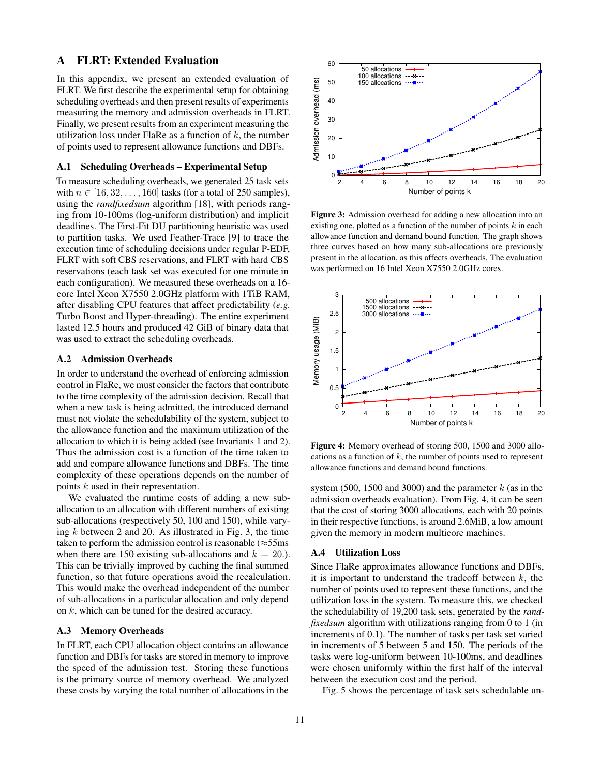# <span id="page-10-0"></span>A FLRT: Extended Evaluation

In this appendix, we present an extended evaluation of FLRT. We first describe the experimental setup for obtaining scheduling overheads and then present results of experiments measuring the memory and admission overheads in FLRT. Finally, we present results from an experiment measuring the utilization loss under FlaRe as a function of  $k$ , the number of points used to represent allowance functions and DBFs.

#### A.1 Scheduling Overheads – Experimental Setup

To measure scheduling overheads, we generated 25 task sets with  $n \in [16, 32, \ldots, 160]$  tasks (for a total of 250 samples), using the *randfixedsum* algorithm [\[18\]](#page-9-36), with periods ranging from 10-100ms (log-uniform distribution) and implicit deadlines. The First-Fit DU partitioning heuristic was used to partition tasks. We used Feather-Trace [\[9\]](#page-9-37) to trace the execution time of scheduling decisions under regular P-EDF, FLRT with soft CBS reservations, and FLRT with hard CBS reservations (each task set was executed for one minute in each configuration). We measured these overheads on a 16 core Intel Xeon X7550 2.0GHz platform with 1TiB RAM, after disabling CPU features that affect predictability (*e.g.* Turbo Boost and Hyper-threading). The entire experiment lasted 12.5 hours and produced 42 GiB of binary data that was used to extract the scheduling overheads.

#### A.2 Admission Overheads

In order to understand the overhead of enforcing admission control in FlaRe, we must consider the factors that contribute to the time complexity of the admission decision. Recall that when a new task is being admitted, the introduced demand must not violate the schedulability of the system, subject to the allowance function and the maximum utilization of the allocation to which it is being added (see Invariants [1](#page-3-2) and [2\)](#page-3-3). Thus the admission cost is a function of the time taken to add and compare allowance functions and DBFs. The time complexity of these operations depends on the number of points k used in their representation.

We evaluated the runtime costs of adding a new suballocation to an allocation with different numbers of existing sub-allocations (respectively 50, 100 and 150), while varying  $k$  between 2 and 20. As illustrated in Fig. [3,](#page-10-1) the time taken to perform the admission control is reasonable ( $\approx$ 55ms) when there are 150 existing sub-allocations and  $k = 20$ .). This can be trivially improved by caching the final summed function, so that future operations avoid the recalculation. This would make the overhead independent of the number of sub-allocations in a particular allocation and only depend on k, which can be tuned for the desired accuracy.

#### A.3 Memory Overheads

In FLRT, each CPU allocation object contains an allowance function and DBFs for tasks are stored in memory to improve the speed of the admission test. Storing these functions is the primary source of memory overhead. We analyzed these costs by varying the total number of allocations in the

<span id="page-10-1"></span>

Figure 3: Admission overhead for adding a new allocation into an existing one, plotted as a function of the number of points  $k$  in each allowance function and demand bound function. The graph shows three curves based on how many sub-allocations are previously present in the allocation, as this affects overheads. The evaluation was performed on 16 Intel Xeon X7550 2.0GHz cores.

<span id="page-10-2"></span>

Figure 4: Memory overhead of storing 500, 1500 and 3000 allocations as a function of  $k$ , the number of points used to represent allowance functions and demand bound functions.

system (500, 1500 and 3000) and the parameter  $k$  (as in the admission overheads evaluation). From Fig. [4,](#page-10-2) it can be seen that the cost of storing 3000 allocations, each with 20 points in their respective functions, is around 2.6MiB, a low amount given the memory in modern multicore machines.

#### A.4 Utilization Loss

Since FlaRe approximates allowance functions and DBFs, it is important to understand the tradeoff between  $k$ , the number of points used to represent these functions, and the utilization loss in the system. To measure this, we checked the schedulability of 19,200 task sets, generated by the *randfixedsum* algorithm with utilizations ranging from 0 to 1 (in increments of 0.1). The number of tasks per task set varied in increments of 5 between 5 and 150. The periods of the tasks were log-uniform between 10-100ms, and deadlines were chosen uniformly within the first half of the interval between the execution cost and the period.

Fig. [5](#page-11-2) shows the percentage of task sets schedulable un-